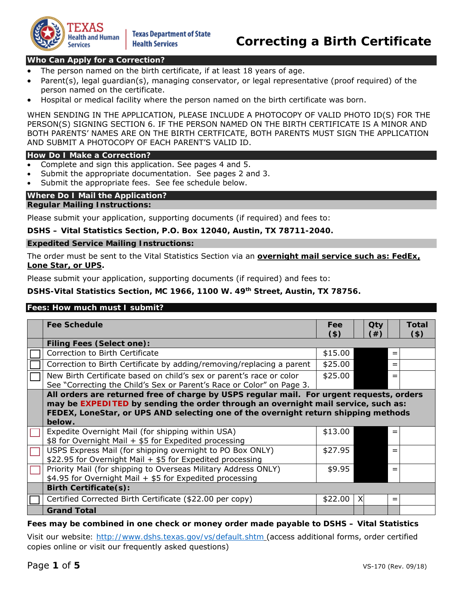

# **Who Can Apply for a Correction?**

- The person named on the birth certificate, if at least 18 years of age.
- Parent(s), legal guardian(s), managing conservator, or legal representative (proof required) of the person named on the certificate.
- Hospital or medical facility where the person named on the birth certificate was born.

WHEN SENDING IN THE APPLICATION, PLEASE INCLUDE A PHOTOCOPY OF VALID PHOTO ID(S) FOR THE PERSON(S) SIGNING SECTION 6. IF THE PERSON NAMED ON THE BIRTH CERTIFICATE IS A MINOR AND BOTH PARENTS' NAMES ARE ON THE BIRTH CERTFICATE, BOTH PARENTS MUST SIGN THE APPLICATION AND SUBMIT A PHOTOCOPY OF EACH PARENT'S VALID ID.

#### **How Do I Make a Correction?**

- Complete and sign this application. See pages 4 and 5.
- Submit the appropriate documentation. See pages 2 and 3.
- Submit the appropriate fees. See fee schedule below.

#### **Where Do I Mail the Application?**

#### **Regular Mailing Instructions:**

Please submit your application, supporting documents (if required) and fees to:

**DSHS – Vital Statistics Section, P.O. Box 12040, Austin, TX 78711-2040.** 

#### **Expedited Service Mailing Instructions:**

The order must be sent to the Vital Statistics Section via an **overnight mail service such as: FedEx, Lone Star, or UPS.**

Please submit your application, supporting documents (if required) and fees to:

**DSHS-Vital Statistics Section, MC 1966, 1100 W. 49th Street, Austin, TX 78756.** 

# **Fees: How much must I submit?**

| <b>Fee Schedule</b>                                                                      | Fee     |   | Qty |     | Total   |  |
|------------------------------------------------------------------------------------------|---------|---|-----|-----|---------|--|
|                                                                                          | $($ \$) |   | (#) |     | $($ \$) |  |
| <b>Filing Fees (Select one):</b>                                                         |         |   |     |     |         |  |
| Correction to Birth Certificate                                                          | \$15.00 |   |     | $=$ |         |  |
| Correction to Birth Certificate by adding/removing/replacing a parent                    | \$25.00 |   |     | $=$ |         |  |
| New Birth Certificate based on child's sex or parent's race or color                     | \$25.00 |   |     | $=$ |         |  |
| See "Correcting the Child's Sex or Parent's Race or Color" on Page 3.                    |         |   |     |     |         |  |
| All orders are returned free of charge by USPS regular mail. For urgent reguests, orders |         |   |     |     |         |  |
| may be EXPEDITED by sending the order through an overnight mail service, such as:        |         |   |     |     |         |  |
| FEDEX, LoneStar, or UPS AND selecting one of the overnight return shipping methods       |         |   |     |     |         |  |
| below.                                                                                   |         |   |     |     |         |  |
| Expedite Overnight Mail (for shipping within USA)                                        | \$13.00 |   |     | $=$ |         |  |
| \$8 for Overnight Mail + \$5 for Expedited processing                                    |         |   |     |     |         |  |
| USPS Express Mail (for shipping overnight to PO Box ONLY)                                | \$27.95 |   |     | $=$ |         |  |
| \$22.95 for Overnight Mail + \$5 for Expedited processing                                |         |   |     |     |         |  |
| Priority Mail (for shipping to Overseas Military Address ONLY)                           | \$9.95  |   |     | $=$ |         |  |
| \$4.95 for Overnight Mail + \$5 for Expedited processing                                 |         |   |     |     |         |  |
| <b>Birth Certificate(s):</b>                                                             |         |   |     |     |         |  |
| Certified Corrected Birth Certificate (\$22.00 per copy)                                 | \$22.00 | X |     | $=$ |         |  |
| <b>Grand Total</b>                                                                       |         |   |     |     |         |  |

**Fees may be combined in one check or money order made payable to** *DSHS – Vital Statistics*

*Visit our website: http://www.dshs.texas.gov/vs/default.shtm* (access additional forms, order certified copies online or visit our frequently asked questions)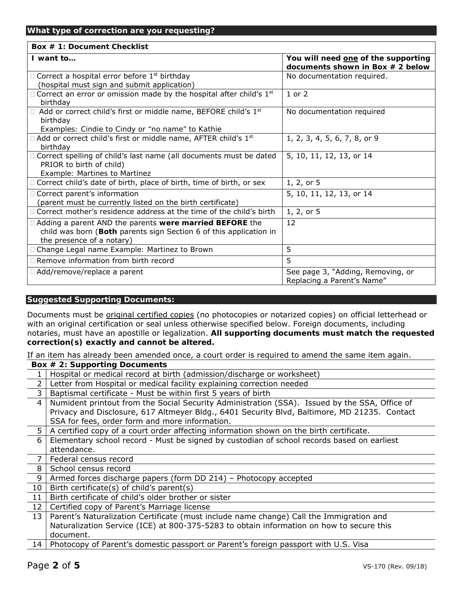### **What type of correction are you requesting?**

#### **Box # 1: Document Checklist**

| I want to                                                                                                                                                         | You will need one of the supporting<br>documents shown in Box $# 2$ below |
|-------------------------------------------------------------------------------------------------------------------------------------------------------------------|---------------------------------------------------------------------------|
| Correct a hospital error before 1 <sup>st</sup> birthday<br>(hospital must sign and submit application)                                                           | No documentation required.                                                |
| Correct an error or omission made by the hospital after child's 1 <sup>st</sup><br>birthdav                                                                       | $1$ or $2$                                                                |
| Add or correct child's first or middle name, BEFORE child's 1st<br>birthday<br>Examples: Cindie to Cindy or "no name" to Kathie                                   | No documentation required                                                 |
| Add or correct child's first or middle name, AFTER child's 1 <sup>st</sup><br>birthdav                                                                            | 1, 2, 3, 4, 5, 6, 7, 8, or 9                                              |
| Correct spelling of child's last name (all documents must be dated<br>PRIOR to birth of child)<br>Example: Martines to Martinez                                   | 5, 10, 11, 12, 13, or 14                                                  |
| Correct child's date of birth, place of birth, time of birth, or sex                                                                                              | 1, 2, or 5                                                                |
| Correct parent's information<br>(parent must be currently listed on the birth certificate)                                                                        | 5, 10, 11, 12, 13, or 14                                                  |
| Correct mother's residence address at the time of the child's birth                                                                                               | 1, 2, or 5                                                                |
| $\Box$ Adding a parent AND the parents were married BEFORE the<br>child was born (Both parents sign Section 6 of this application in<br>the presence of a notary) | 12                                                                        |
| Change Legal name Example: Martinez to Brown                                                                                                                      | 5                                                                         |
| Remove information from birth record                                                                                                                              | 5                                                                         |
| □ Add/remove/replace a parent                                                                                                                                     | See page 3, "Adding, Removing, or<br>Replacing a Parent's Name"           |

#### **Suggested Supporting Documents:**

Documents must be original certified copies (no photocopies or notarized copies) on official letterhead or with an original certification or seal unless otherwise specified below. Foreign documents, including notaries, must have an apostille or legalization. **All supporting documents must match the requested correction(s) exactly and cannot be altered.**

If an item has already been amended once, a *court order* is required to amend the same item again.

|                 | Box $# 2$ : Supporting Documents                                                              |
|-----------------|-----------------------------------------------------------------------------------------------|
|                 | Hospital or medical record at birth (admission/discharge or worksheet)                        |
| $\overline{2}$  | Letter from Hospital or medical facility explaining correction needed                         |
| 3               | Baptismal certificate - Must be within first 5 years of birth                                 |
| 4               | Numident printout from the Social Security Administration (SSA). Issued by the SSA, Office of |
|                 | Privacy and Disclosure, 617 Altmeyer Bldg., 6401 Security Blvd, Baltimore, MD 21235. Contact  |
|                 | SSA for fees, order form and more information.                                                |
| 5.              | A certified copy of a court order affecting information shown on the birth certificate.       |
| 6               | Elementary school record - Must be signed by custodian of school records based on earliest    |
|                 | attendance.                                                                                   |
| $\overline{7}$  | Federal census record                                                                         |
| 8               | School census record                                                                          |
| 9               | Armed forces discharge papers (form DD 214) - Photocopy accepted                              |
| 10 <sup>°</sup> | Birth certificate(s) of child's parent(s)                                                     |
| 11              | Birth certificate of child's older brother or sister                                          |
| 12 <sup>1</sup> | Certified copy of Parent's Marriage license                                                   |
| 13              | Parent's Naturalization Certificate (must include name change) Call the Immigration and       |
|                 | Naturalization Service (ICE) at 800-375-5283 to obtain information on how to secure this      |
|                 | document.                                                                                     |
| 14 <sub>1</sub> | Photocopy of Parent's domestic passport or Parent's foreign passport with U.S. Visa           |
|                 |                                                                                               |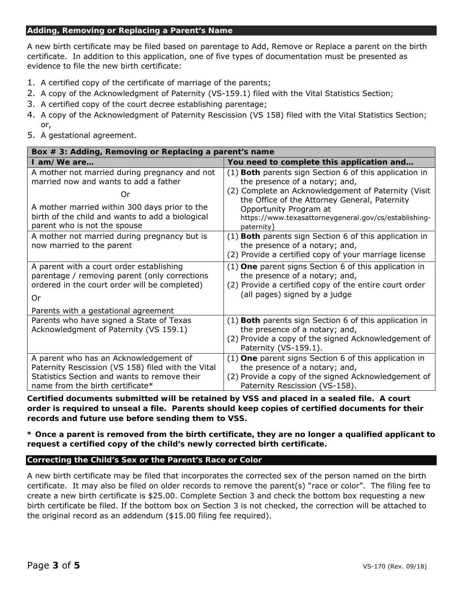#### **Adding, Removing or Replacing a Parent's Name**

A new birth certificate may be filed based on parentage to Add, Remove or Replace a parent on the birth certificate. In addition to this application, one of five types of documentation must be presented as evidence to file the new birth certificate:

- 1. A certified copy of the certificate of marriage of the parents;
- 2. A copy of the Acknowledgment of Paternity (VS-159.1) filed with the Vital Statistics Section;
- 3. A certified copy of the court decree establishing parentage;
- 4. A copy of the Acknowledgment of Paternity Rescission (VS 158) filed with the Vital Statistics Section; or,
- 5. A gestational agreement.

| Box # 3: Adding, Removing or Replacing a parent's name                                                                                                                                                                            |                                                                                                                                                                                                                                                                                                    |  |  |  |  |
|-----------------------------------------------------------------------------------------------------------------------------------------------------------------------------------------------------------------------------------|----------------------------------------------------------------------------------------------------------------------------------------------------------------------------------------------------------------------------------------------------------------------------------------------------|--|--|--|--|
| $I$ am/We are                                                                                                                                                                                                                     | You need to complete this application and                                                                                                                                                                                                                                                          |  |  |  |  |
| A mother not married during pregnancy and not<br>married now and wants to add a father<br>Or<br>A mother married within 300 days prior to the<br>birth of the child and wants to add a biological<br>parent who is not the spouse | (1) Both parents sign Section 6 of this application in<br>the presence of a notary; and,<br>(2) Complete an Acknowledgement of Paternity (Visit)<br>the Office of the Attorney General, Paternity<br>Opportunity Program at<br>https://www.texasattorneygeneral.gov/cs/establishing-<br>paternity) |  |  |  |  |
| A mother not married during pregnancy but is<br>now married to the parent                                                                                                                                                         | (1) Both parents sign Section 6 of this application in<br>the presence of a notary; and,<br>(2) Provide a certified copy of your marriage license                                                                                                                                                  |  |  |  |  |
| A parent with a court order establishing<br>parentage / removing parent (only corrections<br>ordered in the court order will be completed)<br>Or                                                                                  | $(1)$ One parent signs Section 6 of this application in<br>the presence of a notary; and,<br>(2) Provide a certified copy of the <i>entire</i> court order<br>(all pages) signed by a judge                                                                                                        |  |  |  |  |
| Parents with a gestational agreement<br>Parents who have signed a State of Texas<br>Acknowledgment of Paternity (VS 159.1)                                                                                                        | (1) Both parents sign Section 6 of this application in<br>the presence of a notary; and,<br>(2) Provide a copy of the signed Acknowledgement of<br>Paternity (VS-159.1).                                                                                                                           |  |  |  |  |
| A parent who has an Acknowledgement of<br>Paternity Rescission (VS 158) filed with the Vital<br>Statistics Section and wants to remove their<br>name from the birth certificate*                                                  | $(1)$ One parent signs Section 6 of this application in<br>the presence of a notary; and,<br>(2) Provide a copy of the signed Acknowledgement of<br>Paternity Rescission (VS-158).                                                                                                                 |  |  |  |  |

**Certified documents submitted will be retained by VSS and placed in a sealed file. A court order is required to unseal a file. Parents should keep copies of certified documents for their records and future use before sending them to VSS.** 

**\* Once a parent is removed from the birth certificate, they are no longer a qualified applicant to request a certified copy of the child's newly corrected birth certificate.** 

## **Correcting the Child's Sex or the Parent's Race or Color**

A new birth certificate may be filed that incorporates the corrected sex of the person named on the birth certificate. It may also be filed on older records to remove the parent(s) "race or color". The filing fee to create a new birth certificate is \$25.00. Complete Section 3 and check the bottom box requesting a new birth certificate be filed. If the bottom box on Section 3 is not checked, the correction will be attached to the original record as an addendum (\$15.00 filing fee required).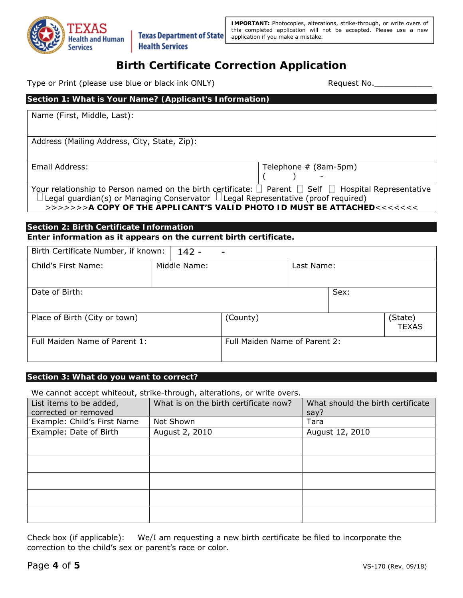

**IMPORTANT:** Photocopies, alterations, strike-through, or write overs of this completed application will not be accepted. Please use a new application if you make a mistake.

# **Birth Certificate Correction Application**

Type or Print (please use blue or black ink ONLY) Type or Print (please use blue or black ink ONLY)

# **Section 1: What is Your Name? (Applicant's Information)**  Name (First, Middle, Last): Address (Mailing Address, City, State, Zip): Email Address: Telephone # (8am-5pm)  $($  ) -Your relationship to Person named on the birth certificate:  $\Box$  Parent  $\Box$  Self  $\Box$  Hospital Representative Legal guardian(s) or Managing Conservator  $\Box$  Legal Representative (proof required)

>>>>>>>**A COPY OF THE APPLICANT'S VALID PHOTO ID MUST BE ATTACHED**<<<<<<<

# **Section 2: Birth Certificate Information**

**Enter information as it appears on the current birth certificate.** 

| Birth Certificate Number, if known: |  | $142 -$      |                               |            |      |                         |
|-------------------------------------|--|--------------|-------------------------------|------------|------|-------------------------|
| Child's First Name:                 |  | Middle Name: |                               | Last Name: |      |                         |
| Date of Birth:                      |  |              |                               |            | Sex: |                         |
| Place of Birth (City or town)       |  |              | (County)                      |            |      | (State)<br><b>TEXAS</b> |
| Full Maiden Name of Parent 1:       |  |              | Full Maiden Name of Parent 2: |            |      |                         |

# **Section 3: What do you want to correct?**

We cannot accept whiteout, strike-through, alterations, or write overs.

| List items to be added,     | What is on the birth certificate now? | What should the birth certificate |
|-----------------------------|---------------------------------------|-----------------------------------|
| corrected or removed        |                                       | say?                              |
| Example: Child's First Name | Not Shown                             | Tara                              |
| Example: Date of Birth      | August 2, 2010                        | August 12, 2010                   |
|                             |                                       |                                   |
|                             |                                       |                                   |
|                             |                                       |                                   |
|                             |                                       |                                   |
|                             |                                       |                                   |
|                             |                                       |                                   |
|                             |                                       |                                   |
|                             |                                       |                                   |
|                             |                                       |                                   |
|                             |                                       |                                   |

Check box (if applicable): We/I am requesting a new birth certificate be filed to incorporate the correction to the child's sex or parent's race or color.